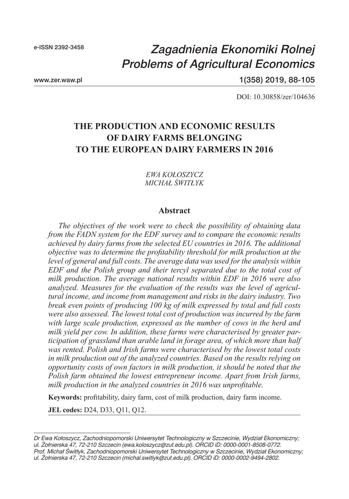# *Zagadnienia Ekonomiki Rolnej Problems of Agricultural Economics*

www.zer.waw.pl

1(358) 2019, 88-105

DOI: 10.30858/zer/104636

## **THE PRODUCTION AND ECONOMIC RESULTS OF DAIRY FARMS BELONGING TO THE EUROPEAN DAIRY FARMERS IN 2016**

#### *EWA KOŁOSZYCZ MICHAŁ ŚWITŁYK*

#### **Abstract**

*The objectives of the work were to check the possibility of obtaining data from the FADN system for the EDF survey and to compare the economic results achieved by dairy farms from the selected EU countries in 2016. The additional objective was to determine the profitability threshold for milk production at the level of general and full costs. The average data was used for the analysis within EDF and the Polish group and their tercyl separated due to the total cost of milk production. The average national results within EDF in 2016 were also analyzed. Measures for the evaluation of the results was the level of agricultural income, and income from management and risks in the dairy industry. Two break even points of producing 100 kg of milk expressed by total and full costs were also assessed. The lowest total cost of production was incurred by the farm with large scale production, expressed as the number of cows in the herd and milk yield per cow. In addition, these farms were characterised by greater participation of grassland than arable land in forage area, of which more than half was rented. Polish and Irish farms were characterised by the lowest total costs in milk production out of the analyzed countries. Based on the results relying on opportunity costs of own factors in milk production, it should be noted that the Polish farm obtained the lowest entrepreneur income. Apart from Irish farms, milk production in the analyzed countries in 2016 was unprofitable.*

**Keywords:** profitability, dairy farm, cost of milk production, dairy farm income.

**JEL codes:** D24, D33, Q11, Q12.

*Dr Ewa Kołoszycz, Zachodniopomorski Uniwersytet Technologiczny w Szczecinie, Wydział Ekonomiczny; ul. Żołnierska 47, 72-210 Szczecin (ewa.koloszycz@zut.edu.pl). ORCID iD: 0000-0001-8508-0772. Prof. Michał Świtłyk, Zachodniopomorski Uniwersytet Technologiczny w Szczecinie, Wydział Ekonomiczny; ul. Żołnierska 47, 72-210 Szczecin (michal.switlyk@zut.edu.pl). ORCID iD: 0000-0002-9494-2802.*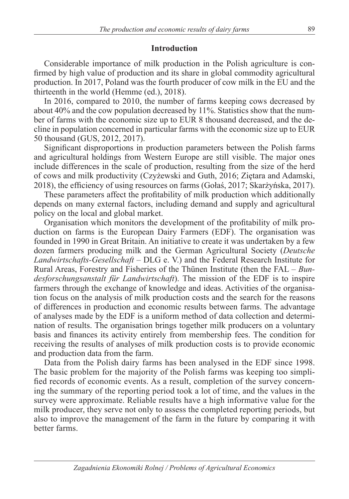#### **Introduction**

Considerable importance of milk production in the Polish agriculture is confirmed by high value of production and its share in global commodity agricultural production. In 2017, Poland was the fourth producer of cow milk in the EU and the thirteenth in the world (Hemme (ed.), 2018).

In 2016, compared to 2010, the number of farms keeping cows decreased by about 40% and the cow population decreased by 11%. Statistics show that the number of farms with the economic size up to EUR 8 thousand decreased, and the decline in population concerned in particular farms with the economic size up to EUR 50 thousand (GUS, 2012, 2017).

Significant disproportions in production parameters between the Polish farms and agricultural holdings from Western Europe are still visible. The major ones include differences in the scale of production, resulting from the size of the herd of cows and milk productivity (Czyżewski and Guth, 2016; Ziętara and Adamski, 2018), the efficiency of using resources on farms (Gołaś, 2017; Skarżyńska, 2017).

These parameters affect the profitability of milk production which additionally depends on many external factors, including demand and supply and agricultural policy on the local and global market.

Organisation which monitors the development of the profitability of milk production on farms is the European Dairy Farmers (EDF). The organisation was founded in 1990 in Great Britain. An initiative to create it was undertaken by a few dozen farmers producing milk and the German Agricultural Society (*Deutsche Landwirtschafts-Gesellschaft* – DLG e. V.) and the Federal Research Institute for Rural Areas, Forestry and Fisheries of the Thünen Institute (then the FAL – *Bundesforschungsanstalt für Landwirtschaft*). The mission of the EDF is to inspire farmers through the exchange of knowledge and ideas. Activities of the organisation focus on the analysis of milk production costs and the search for the reasons of differences in production and economic results between farms. The advantage of analyses made by the EDF is a uniform method of data collection and determination of results. The organisation brings together milk producers on a voluntary basis and finances its activity entirely from membership fees. The condition for receiving the results of analyses of milk production costs is to provide economic and production data from the farm.

Data from the Polish dairy farms has been analysed in the EDF since 1998. The basic problem for the majority of the Polish farms was keeping too simplified records of economic events. As a result, completion of the survey concerning the summary of the reporting period took a lot of time, and the values in the survey were approximate. Reliable results have a high informative value for the milk producer, they serve not only to assess the completed reporting periods, but also to improve the management of the farm in the future by comparing it with better farms.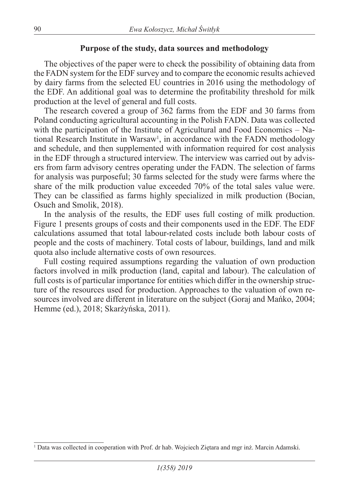### **Purpose of the study, data sources and methodology**

The objectives of the paper were to check the possibility of obtaining data from the FADN system for the EDF survey and to compare the economic results achieved by dairy farms from the selected EU countries in 2016 using the methodology of the EDF. An additional goal was to determine the profitability threshold for milk production at the level of general and full costs.

The research covered a group of 362 farms from the EDF and 30 farms from Poland conducting agricultural accounting in the Polish FADN. Data was collected with the participation of the Institute of Agricultural and Food Economics – National Research Institute in Warsaw<sup>1</sup>, in accordance with the FADN methodology and schedule, and then supplemented with information required for cost analysis in the EDF through a structured interview. The interview was carried out by advisers from farm advisory centres operating under the FADN. The selection of farms for analysis was purposeful; 30 farms selected for the study were farms where the share of the milk production value exceeded 70% of the total sales value were. They can be classified as farms highly specialized in milk production (Bocian, Osuch and Smolik, 2018).

In the analysis of the results, the EDF uses full costing of milk production. Figure 1 presents groups of costs and their components used in the EDF. The EDF calculations assumed that total labour-related costs include both labour costs of people and the costs of machinery. Total costs of labour, buildings, land and milk quota also include alternative costs of own resources.

Full costing required assumptions regarding the valuation of own production factors involved in milk production (land, capital and labour). The calculation of full costs is of particular importance for entities which differ in the ownership structure of the resources used for production. Approaches to the valuation of own resources involved are different in literature on the subject (Goraj and Mańko, 2004; Hemme (ed.), 2018; Skarżyńska, 2011).

<sup>1</sup> Data was collected in cooperation with Prof. dr hab. Wojciech Ziętara and mgr inż. Marcin Adamski.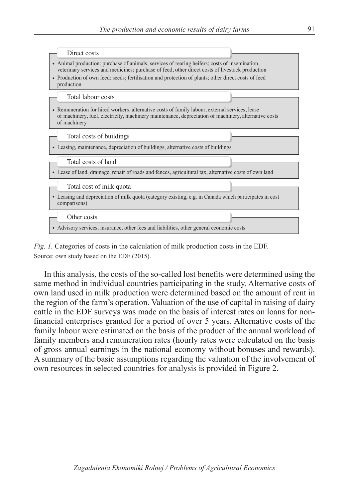

*Fig. 1.* Categories of costs in the calculation of milk production costs in the EDF. Source: own study based on the EDF (2015).

In this analysis, the costs of the so-called lost benefits were determined using the same method in individual countries participating in the study. Alternative costs of own land used in milk production were determined based on the amount of rent in the region of the farm's operation. Valuation of the use of capital in raising of dairy cattle in the EDF surveys was made on the basis of interest rates on loans for nonfinancial enterprises granted for a period of over 5 years. Alternative costs of the family labour were estimated on the basis of the product of the annual workload of family members and remuneration rates (hourly rates were calculated on the basis of gross annual earnings in the national economy without bonuses and rewards). A summary of the basic assumptions regarding the valuation of the involvement of own resources in selected countries for analysis is provided in Figure 2.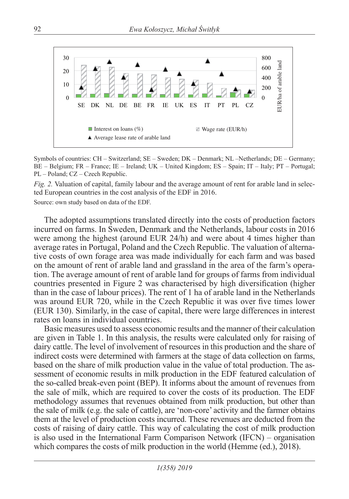

Symbols of countries: CH – Switzerland; SE – Sweden; DK – Denmark; NL –Netherlands; DE – Germany; BE – Belgium; FR – France; IE – Ireland; UK – United Kingdom; ES – Spain; IT – Italy; PT – Portugal; PL – Poland; CZ – Czech Republic.

*Fig. 2.* Valuation of capital, family labour and the average amount of rent for arable land in selected European countries in the cost analysis of the EDF in 2016.

Source: own study based on data of the EDF.

The adopted assumptions translated directly into the costs of production factors incurred on farms. In Sweden, Denmark and the Netherlands, labour costs in 2016 were among the highest (around EUR 24/h) and were about 4 times higher than average rates in Portugal, Poland and the Czech Republic. The valuation of alternative costs of own forage area was made individually for each farm and was based on the amount of rent of arable land and grassland in the area of the farm's operation. The average amount of rent of arable land for groups of farms from individual countries presented in Figure 2 was characterised by high diversification (higher than in the case of labour prices). The rent of 1 ha of arable land in the Netherlands was around EUR 720, while in the Czech Republic it was over five times lower (EUR 130). Similarly, in the case of capital, there were large differences in interest rates on loans in individual countries.

Basic measures used to assess economic results and the manner of their calculation are given in Table 1. In this analysis, the results were calculated only for raising of dairy cattle. The level of involvement of resources in this production and the share of indirect costs were determined with farmers at the stage of data collection on farms, based on the share of milk production value in the value of total production. The assessment of economic results in milk production in the EDF featured calculation of the so-called break-even point (BEP). It informs about the amount of revenues from the sale of milk, which are required to cover the costs of its production. The EDF methodology assumes that revenues obtained from milk production, but other than the sale of milk (e.g. the sale of cattle), are 'non-core' activity and the farmer obtains them at the level of production costs incurred. These revenues are deducted from the costs of raising of dairy cattle. This way of calculating the cost of milk production is also used in the International Farm Comparison Network (IFCN) – organisation which compares the costs of milk production in the world (Hemme (ed.), 2018).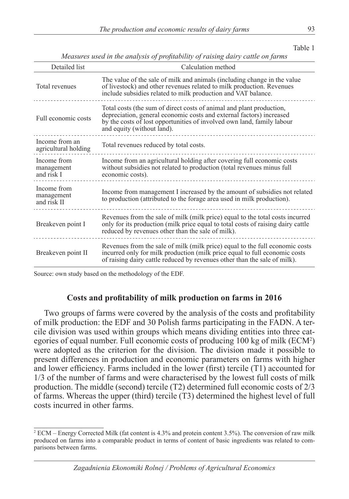| I<br>۰.<br>v | I<br>٧ |
|--------------|--------|
|              |        |

| abie |  |
|------|--|
|------|--|

| Detailed list                            | Calculation method                                                                                                                                                                                                                                   |
|------------------------------------------|------------------------------------------------------------------------------------------------------------------------------------------------------------------------------------------------------------------------------------------------------|
| Total revenues                           | The value of the sale of milk and animals (including change in the value<br>of livestock) and other revenues related to milk production. Revenues<br>include subsidies related to milk production and VAT balance.                                   |
| Full economic costs                      | Total costs (the sum of direct costs of animal and plant production,<br>depreciation, general economic costs and external factors) increased<br>by the costs of lost opportunities of involved own land, family labour<br>and equity (without land). |
| Income from an<br>agricultural holding   | Total revenues reduced by total costs.                                                                                                                                                                                                               |
| Income from<br>management<br>and risk I  | Income from an agricultural holding after covering full economic costs<br>without subsidies not related to production (total revenues minus full<br>economic costs).                                                                                 |
| Income from<br>management<br>and risk II | Income from management I increased by the amount of subsidies not related<br>to production (attributed to the forage area used in milk production).                                                                                                  |
| Breakeven point I                        | Revenues from the sale of milk (milk price) equal to the total costs incurred<br>only for its production (milk price equal to total costs of raising dairy cattle<br>reduced by revenues other than the sale of milk).                               |
| Breakeven point II                       | Revenues from the sale of milk (milk price) equal to the full economic costs<br>incurred only for milk production (milk price equal to full economic costs<br>of raising dairy cattle reduced by revenues other than the sale of milk).              |

*Measures used in the analysis of profitability of raising dairy cattle on farms*

Source: own study based on the methodology of the EDF.

#### **Costs and profitability of milk production on farms in 2016**

Two groups of farms were covered by the analysis of the costs and profitability of milk production: the EDF and 30 Polish farms participating in the FADN. A tercile division was used within groups which means dividing entities into three categories of equal number. Full economic costs of producing 100 kg of milk (ECM<sup>2</sup>) were adopted as the criterion for the division. The division made it possible to present differences in production and economic parameters on farms with higher and lower efficiency. Farms included in the lower (first) tercile (T1) accounted for 1/3 of the number of farms and were characterised by the lowest full costs of milk production. The middle (second) tercile (T2) determined full economic costs of 2/3 of farms. Whereas the upper (third) tercile (T3) determined the highest level of full costs incurred in other farms.

<sup>2</sup> ECM – Energy Corrected Milk (fat content is 4.3% and protein content 3.5%). The conversion of raw milk produced on farms into a comparable product in terms of content of basic ingredients was related to comparisons between farms.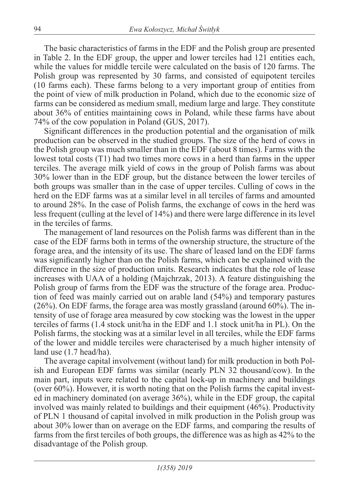The basic characteristics of farms in the EDF and the Polish group are presented in Table 2. In the EDF group, the upper and lower terciles had 121 entities each, while the values for middle tercile were calculated on the basis of 120 farms. The Polish group was represented by 30 farms, and consisted of equipotent terciles (10 farms each). These farms belong to a very important group of entities from the point of view of milk production in Poland, which due to the economic size of farms can be considered as medium small, medium large and large. They constitute about 36% of entities maintaining cows in Poland, while these farms have about 74% of the cow population in Poland (GUS, 2017).

Significant differences in the production potential and the organisation of milk production can be observed in the studied groups. The size of the herd of cows in the Polish group was much smaller than in the EDF (about 8 times). Farms with the lowest total costs (T1) had two times more cows in a herd than farms in the upper terciles. The average milk yield of cows in the group of Polish farms was about 30% lower than in the EDF group, but the distance between the lower terciles of both groups was smaller than in the case of upper terciles. Culling of cows in the herd on the EDF farms was at a similar level in all terciles of farms and amounted to around 28%. In the case of Polish farms, the exchange of cows in the herd was less frequent (culling at the level of 14%) and there were large difference in its level in the terciles of farms.

The management of land resources on the Polish farms was different than in the case of the EDF farms both in terms of the ownership structure, the structure of the forage area, and the intensity of its use. The share of leased land on the EDF farms was significantly higher than on the Polish farms, which can be explained with the difference in the size of production units. Research indicates that the role of lease increases with UAA of a holding (Majchrzak, 2013). A feature distinguishing the Polish group of farms from the EDF was the structure of the forage area. Production of feed was mainly carried out on arable land (54%) and temporary pastures (26%). On EDF farms, the forage area was mostly grassland (around 60%). The intensity of use of forage area measured by cow stocking was the lowest in the upper terciles of farms (1.4 stock unit/ha in the EDF and 1.1 stock unit/ha in PL). On the Polish farms, the stocking was at a similar level in all terciles, while the EDF farms of the lower and middle terciles were characterised by a much higher intensity of land use (1.7 head/ha).

The average capital involvement (without land) for milk production in both Polish and European EDF farms was similar (nearly PLN 32 thousand/cow). In the main part, inputs were related to the capital lock-up in machinery and buildings (over 60%). However, it is worth noting that on the Polish farms the capital invested in machinery dominated (on average 36%), while in the EDF group, the capital involved was mainly related to buildings and their equipment (46%). Productivity of PLN 1 thousand of capital involved in milk production in the Polish group was about 30% lower than on average on the EDF farms, and comparing the results of farms from the first terciles of both groups, the difference was as high as 42% to the disadvantage of the Polish group.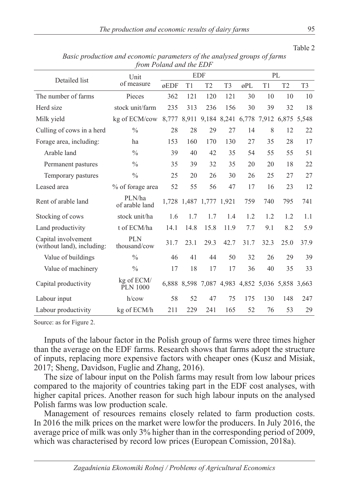*The production and economic results of dairy farms* 95

| from Found and the EDT                            |                            |      |                         |                |                |      |                                                 |                |                |  |
|---------------------------------------------------|----------------------------|------|-------------------------|----------------|----------------|------|-------------------------------------------------|----------------|----------------|--|
| Detailed list                                     | Unit                       |      |                         | <b>EDF</b>     |                | PL   |                                                 |                |                |  |
|                                                   | of measure                 | øEDF | T1                      | T <sub>2</sub> | T <sub>3</sub> | øPL  | T1                                              | T <sub>2</sub> | T <sub>3</sub> |  |
| The number of farms                               | Pieces                     | 362  | 121                     | 120            | 121            | 30   | 10                                              | 10             | 10             |  |
| Herd size                                         | stock unit/farm            | 235  | 313                     | 236            | 156            | 30   | 39                                              | 32             | 18             |  |
| Milk yield                                        | kg of ECM/cow              |      |                         |                |                |      | 8,777 8,911 9,184 8,241 6,778 7,912 6,875 5,548 |                |                |  |
| Culling of cows in a herd                         | $\frac{0}{0}$              | 28   | 28                      | 29             | 27             | 14   | 8                                               | 12             | 22             |  |
| Forage area, including:                           | ha                         | 153  | 160                     | 170            | 130            | 27   | 35                                              | 28             | 17             |  |
| Arable land                                       | $\frac{0}{0}$              | 39   | 40                      | 42             | 35             | 54   | 55                                              | 55             | 51             |  |
| Permanent pastures                                | $\frac{0}{0}$              | 35   | 39                      | 32             | 35             | 20   | 20                                              | 18             | 22             |  |
| Temporary pastures                                | $\frac{0}{0}$              | 25   | 20                      | 26             | 30             | 26   | 25                                              | 27             | 27             |  |
| Leased area                                       | % of forage area           | 52   | 55                      | 56             | 47             | 17   | 16                                              | 23             | 12             |  |
| Rent of arable land                               | PLN/ha<br>of arable land   |      | 1,728 1,487 1,777 1,921 |                |                | 759  | 740                                             | 795            | 741            |  |
| Stocking of cows                                  | stock unit/ha              | 1.6  | 1.7                     | 1.7            | 1.4            | 1.2  | 1.2                                             | 1.2            | 1.1            |  |
| Land productivity                                 | t of ECM/ha                | 14.1 | 14.8                    | 15.8           | 11.9           | 7.7  | 9.1                                             | 8.2            | 5.9            |  |
| Capital involvement<br>(without land), including: | <b>PLN</b><br>thousand/cow | 31.7 | 23.1                    | 29.3           | 42.7           | 31.7 | 32.3                                            | 25.0           | 37.9           |  |
| Value of buildings                                | $\frac{0}{0}$              | 46   | 41                      | 44             | 50             | 32   | 26                                              | 29             | 39             |  |
| Value of machinery                                | $\frac{0}{0}$              | 17   | 18                      | 17             | 17             | 36   | 40                                              | 35             | 33             |  |
| Capital productivity                              | kg of ECM/<br>PLN 1000     |      |                         |                |                |      | 6,888 8,598 7,087 4,983 4,852 5,036 5,858 3,663 |                |                |  |
| Labour input                                      | $h$ /cow                   | 58   | 52                      | 47             | 75             | 175  | 130                                             | 148            | 247            |  |
| Labour productivity                               | kg of ECM/h                | 211  | 229                     | 241            | 165            | 52   | 76                                              | 53             | 29             |  |

*Basic production and economic parameters of the analysed groups of farms from Poland and the EDF*

Source: as for Figure 2.

Inputs of the labour factor in the Polish group of farms were three times higher than the average on the EDF farms. Research shows that farms adopt the structure of inputs, replacing more expensive factors with cheaper ones (Kusz and Misiak, 2017; Sheng, Davidson, Fuglie and Zhang, 2016).

The size of labour input on the Polish farms may result from low labour prices compared to the majority of countries taking part in the EDF cost analyses, with higher capital prices. Another reason for such high labour inputs on the analysed Polish farms was low production scale.

Management of resources remains closely related to farm production costs. In 2016 the milk prices on the market were lowfor the producers. In July 2016, the average price of milk was only 3% higher than in the corresponding period of 2009, which was characterised by record low prices (European Comission, 2018a).

Table 2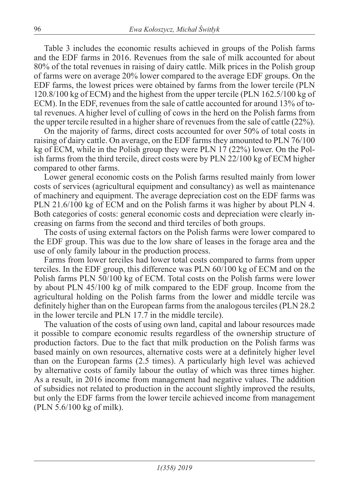Table 3 includes the economic results achieved in groups of the Polish farms and the EDF farms in 2016. Revenues from the sale of milk accounted for about 80% of the total revenues in raising of dairy cattle. Milk prices in the Polish group of farms were on average 20% lower compared to the average EDF groups. On the EDF farms, the lowest prices were obtained by farms from the lower tercile (PLN 120.8/100 kg of ECM) and the highest from the upper tercile (PLN 162.5/100 kg of ECM). In the EDF, revenues from the sale of cattle accounted for around 13% of total revenues. A higher level of culling of cows in the herd on the Polish farms from the upper tercile resulted in a higher share of revenues from the sale of cattle (22%).

On the majority of farms, direct costs accounted for over 50% of total costs in raising of dairy cattle. On average, on the EDF farms they amounted to PLN 76/100 kg of ECM, while in the Polish group they were PLN 17 (22%) lower. On the Polish farms from the third tercile, direct costs were by PLN 22/100 kg of ECM higher compared to other farms.

Lower general economic costs on the Polish farms resulted mainly from lower costs of services (agricultural equipment and consultancy) as well as maintenance of machinery and equipment. The average depreciation cost on the EDF farms was PLN 21.6/100 kg of ECM and on the Polish farms it was higher by about PLN 4. Both categories of costs: general economic costs and depreciation were clearly increasing on farms from the second and third terciles of both groups.

The costs of using external factors on the Polish farms were lower compared to the EDF group. This was due to the low share of leases in the forage area and the use of only family labour in the production process.

Farms from lower terciles had lower total costs compared to farms from upper terciles. In the EDF group, this difference was PLN 60/100 kg of ECM and on the Polish farms PLN 50/100 kg of ECM. Total costs on the Polish farms were lower by about PLN 45/100 kg of milk compared to the EDF group. Income from the agricultural holding on the Polish farms from the lower and middle tercile was definitely higher than on the European farms from the analogous terciles (PLN 28.2 in the lower tercile and PLN 17.7 in the middle tercile).

The valuation of the costs of using own land, capital and labour resources made it possible to compare economic results regardless of the ownership structure of production factors. Due to the fact that milk production on the Polish farms was based mainly on own resources, alternative costs were at a definitely higher level than on the European farms (2.5 times). A particularly high level was achieved by alternative costs of family labour the outlay of which was three times higher. As a result, in 2016 income from management had negative values. The addition of subsidies not related to production in the account slightly improved the results, but only the EDF farms from the lower tercile achieved income from management (PLN 5.6/100 kg of milk).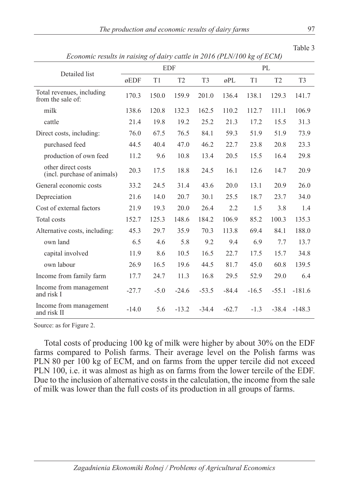| Table |  |
|-------|--|

| $1.00$ and $1.00$ and $1.00$ and $1.00$ and $1.00$ and $1.00$ and $1.00$ and $1.00$ and $1.00$ and $1.00$ and $1.00$ and $1.00$ and $1.00$ and $1.00$ and $1.00$ and $1.00$ and $1.00$ and $1.00$ and $1.00$ and $1.00$ and |         | <b>EDF</b> |                |                | PL      |         |         |                |  |
|-----------------------------------------------------------------------------------------------------------------------------------------------------------------------------------------------------------------------------|---------|------------|----------------|----------------|---------|---------|---------|----------------|--|
| Detailed list                                                                                                                                                                                                               | øEDF    | T1         | T <sub>2</sub> | T <sub>3</sub> | øPL     | T1      | T2      | T <sub>3</sub> |  |
| Total revenues, including<br>from the sale of:                                                                                                                                                                              | 170.3   | 150.0      | 159.9          | 201.0          | 136.4   | 138.1   | 129.3   | 141.7          |  |
| milk                                                                                                                                                                                                                        | 138.6   | 120.8      | 132.3          | 162.5          | 110.2   | 112.7   | 111.1   | 106.9          |  |
| cattle                                                                                                                                                                                                                      | 21.4    | 19.8       | 19.2           | 25.2           | 21.3    | 17.2    | 15.5    | 31.3           |  |
| Direct costs, including:                                                                                                                                                                                                    | 76.0    | 67.5       | 76.5           | 84.1           | 59.3    | 51.9    | 51.9    | 73.9           |  |
| purchased feed                                                                                                                                                                                                              | 44.5    | 40.4       | 47.0           | 46.2           | 22.7    | 23.8    | 20.8    | 23.3           |  |
| production of own feed                                                                                                                                                                                                      | 11.2    | 9.6        | 10.8           | 13.4           | 20.5    | 15.5    | 16.4    | 29.8           |  |
| other direct costs<br>(incl. purchase of animals)                                                                                                                                                                           | 20.3    | 17.5       | 18.8           | 24.5           | 16.1    | 12.6    | 14.7    | 20.9           |  |
| General economic costs                                                                                                                                                                                                      | 33.2    | 24.5       | 31.4           | 43.6           | 20.0    | 13.1    | 20.9    | 26.0           |  |
| Depreciation                                                                                                                                                                                                                | 21.6    | 14.0       | 20.7           | 30.1           | 25.5    | 18.7    | 23.7    | 34.0           |  |
| Cost of external factors                                                                                                                                                                                                    | 21.9    | 19.3       | 20.0           | 26.4           | 2.2     | 1.5     | 3.8     | 1.4            |  |
| Total costs                                                                                                                                                                                                                 | 152.7   | 125.3      | 148.6          | 184.2          | 106.9   | 85.2    | 100.3   | 135.3          |  |
| Alternative costs, including:                                                                                                                                                                                               | 45.3    | 29.7       | 35.9           | 70.3           | 113.8   | 69.4    | 84.1    | 188.0          |  |
| own land                                                                                                                                                                                                                    | 6.5     | 4.6        | 5.8            | 9.2            | 9.4     | 6.9     | 7.7     | 13.7           |  |
| capital involved                                                                                                                                                                                                            | 11.9    | 8.6        | 10.5           | 16.5           | 22.7    | 17.5    | 15.7    | 34.8           |  |
| own labour                                                                                                                                                                                                                  | 26.9    | 16.5       | 19.6           | 44.5           | 81.7    | 45.0    | 60.8    | 139.5          |  |
| Income from family farm                                                                                                                                                                                                     | 17.7    | 24.7       | 11.3           | 16.8           | 29.5    | 52.9    | 29.0    | 6.4            |  |
| Income from management<br>and risk I                                                                                                                                                                                        | $-27.7$ | $-5.0$     | $-24.6$        | $-53.5$        | $-84.4$ | $-16.5$ | $-55.1$ | $-181.6$       |  |
| Income from management<br>and risk II                                                                                                                                                                                       | $-14.0$ | 5.6        | $-13.2$        | $-34.4$        | $-62.7$ | $-1.3$  | $-38.4$ | $-148.3$       |  |

*Economic results in raising of dairy cattle in 2016 (PLN/100 kg of ECM)*

Source: as for Figure 2.

Total costs of producing 100 kg of milk were higher by about 30% on the EDF farms compared to Polish farms. Their average level on the Polish farms was PLN 80 per 100 kg of ECM, and on farms from the upper tercile did not exceed PLN 100, i.e. it was almost as high as on farms from the lower tercile of the EDF. Due to the inclusion of alternative costs in the calculation, the income from the sale of milk was lower than the full costs of its production in all groups of farms.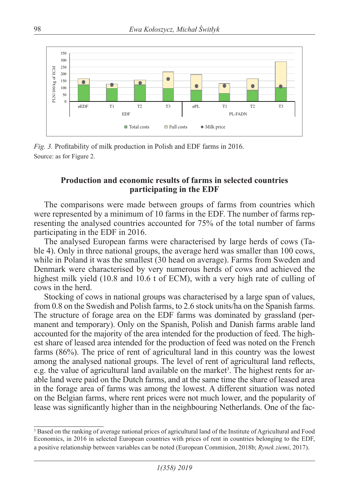

*Fig. 3.* Profitability of milk production in Polish and EDF farms in 2016. Source: as for Figure 2.

### **Production and economic results of farms in selected countries participating in the EDF**

The comparisons were made between groups of farms from countries which were represented by a minimum of 10 farms in the EDF. The number of farms representing the analysed countries accounted for 75% of the total number of farms participating in the EDF in 2016.

The analysed European farms were characterised by large herds of cows (Table 4). Only in three national groups, the average herd was smaller than 100 cows, while in Poland it was the smallest (30 head on average). Farms from Sweden and Denmark were characterised by very numerous herds of cows and achieved the highest milk yield (10.8 and 10.6 t of ECM), with a very high rate of culling of cows in the herd.

Stocking of cows in national groups was characterised by a large span of values, from 0.8 on the Swedish and Polish farms, to 2.6 stock units/ha on the Spanish farms. The structure of forage area on the EDF farms was dominated by grassland (permanent and temporary). Only on the Spanish, Polish and Danish farms arable land accounted for the majority of the area intended for the production of feed. The highest share of leased area intended for the production of feed was noted on the French farms (86%). The price of rent of agricultural land in this country was the lowest among the analysed national groups. The level of rent of agricultural land reflects, e.g. the value of agricultural land available on the market<sup>3</sup>. The highest rents for arable land were paid on the Dutch farms, and at the same time the share of leased area in the forage area of farms was among the lowest. A different situation was noted on the Belgian farms, where rent prices were not much lower, and the popularity of lease was significantly higher than in the neighbouring Netherlands. One of the fac-

<sup>&</sup>lt;sup>3</sup> Based on the ranking of average national prices of agricultural land of the Institute of Agricultural and Food Economics, in 2016 in selected European countries with prices of rent in countries belonging to the EDF, a positive relationship between variables can be noted (European Commision, 2018b; *Rynek ziemi*, 2017).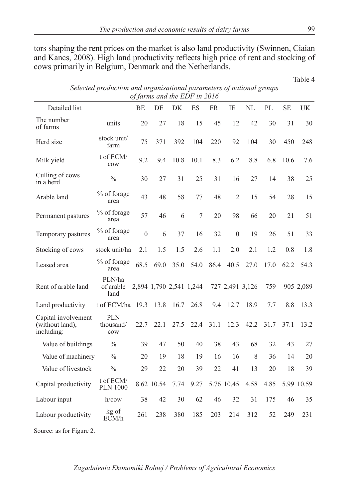tors shaping the rent prices on the market is also land productivity (Swinnen, Ciaian and Kancs, 2008). High land productivity reflects high price of rent and stocking of cows primarily in Belgium, Denmark and the Netherlands.

Table 4

*Selected production and organisational parameters of national groups of farms and the EDF in 2016*

| Detailed list                                        |                                | BE           | DE         | DK                      | ES   | <b>FR</b> | IE               | NL   | PL   | <b>SE</b> | UK         |
|------------------------------------------------------|--------------------------------|--------------|------------|-------------------------|------|-----------|------------------|------|------|-----------|------------|
| The number<br>of farms                               | units                          | 20           | 27         | 18                      | 15   | 45        | 12               | 42   | 30   | 31        | 30         |
| Herd size                                            | stock unit/<br>farm            | 75           | 371        | 392                     | 104  | 220       | 92               | 104  | 30   | 450       | 248        |
| Milk yield                                           | t of ECM/<br>cow               | 9.2          | 9.4        | 10.8                    | 10.1 | 8.3       | 6.2              | 8.8  | 6.8  | 10.6      | 7.6        |
| Culling of cows<br>in a herd                         | $\frac{0}{0}$                  | 30           | 27         | 31                      | 25   | 31        | 16               | 27   | 14   | 38        | 25         |
| Arable land                                          | % of forage<br>area            | 43           | 48         | 58                      | 77   | 48        | $\mathfrak{2}$   | 15   | 54   | 28        | 15         |
| Permanent pastures                                   | % of forage<br>area            | 57           | 46         | 6                       | 7    | 20        | 98               | 66   | 20   | 21        | 51         |
| Temporary pastures                                   | % of forage<br>area            | $\mathbf{0}$ | 6          | 37                      | 16   | 32        | $\boldsymbol{0}$ | 19   | 26   | 51        | 33         |
| Stocking of cows                                     | stock unit/ha                  | 2.1          | 1.5        | 1.5                     | 2.6  | 1.1       | 2.0              | 2.1  | 1.2  | 0.8       | 1.8        |
| Leased area                                          | % of forage<br>area            | 68.5         | 69.0       | 35.0                    | 54.0 | 86.4      | 40.5             | 27.0 | 17.0 | 62.2      | 54.3       |
| Rent of arable land                                  | PLN/ha<br>of arable<br>land    |              |            | 2,894 1,790 2,541 1,244 |      |           | 727 2,491 3,126  |      | 759  |           | 905 2,089  |
| Land productivity                                    | t of ECM/ha                    | 19.3         | 13.8       | 16.7                    | 26.8 | 9.4       | 12.7             | 18.9 | 7.7  | 8.8       | 13.3       |
| Capital involvement<br>(without land),<br>including: | <b>PLN</b><br>thousand/<br>cow | 22.7         | 22.1       | 27.5                    | 22.4 | 31.1      | 12.3             | 42.2 | 31.7 | 37.1      | 13.2       |
| Value of buildings                                   | $\frac{0}{0}$                  | 39           | 47         | 50                      | 40   | 38        | 43               | 68   | 32   | 43        | 27         |
| Value of machinery                                   | $\frac{0}{0}$                  | 20           | 19         | 18                      | 19   | 16        | 16               | 8    | 36   | 14        | 20         |
| Value of livestock                                   | $\frac{0}{0}$                  | 29           | 22         | 20                      | 39   | 22        | 41               | 13   | 20   | 18        | 39         |
| Capital productivity                                 | t of ECM/<br><b>PLN 1000</b>   |              | 8.62 10.54 | 7.74                    | 9.27 |           | 5.76 10.45       | 4.58 | 4.85 |           | 5.99 10.59 |
| Labour input                                         | $h$ /cow                       | 38           | 42         | 30                      | 62   | 46        | 32               | 31   | 175  | 46        | 35         |
| Labour productivity                                  | kg of<br>ECM/h                 | 261          | 238        | 380                     | 185  | 203       | 214              | 312  | 52   | 249       | 231        |

Source: as for Figure 2.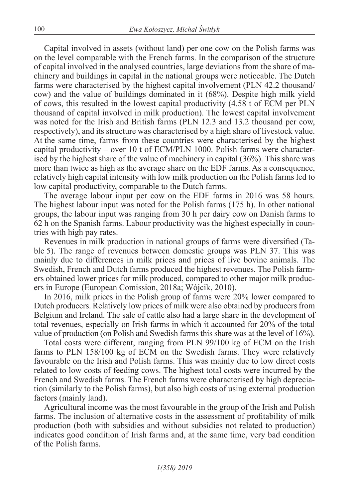Capital involved in assets (without land) per one cow on the Polish farms was on the level comparable with the French farms. In the comparison of the structure of capital involved in the analysed countries, large deviations from the share of machinery and buildings in capital in the national groups were noticeable. The Dutch farms were characterised by the highest capital involvement (PLN 42.2 thousand/ cow) and the value of buildings dominated in it (68%). Despite high milk yield of cows, this resulted in the lowest capital productivity (4.58 t of ECM per PLN thousand of capital involved in milk production). The lowest capital involvement was noted for the Irish and British farms (PLN 12.3 and 13.2 thousand per cow, respectively), and its structure was characterised by a high share of livestock value. At the same time, farms from these countries were characterised by the highest capital productivity – over 10 t of ECM/PLN 1000. Polish farms were characterised by the highest share of the value of machinery in capital (36%). This share was more than twice as high as the average share on the EDF farms. As a consequence, relatively high capital intensity with low milk production on the Polish farms led to low capital productivity, comparable to the Dutch farms.

The average labour input per cow on the EDF farms in 2016 was 58 hours. The highest labour input was noted for the Polish farms (175 h). In other national groups, the labour input was ranging from 30 h per dairy cow on Danish farms to 62 h on the Spanish farms. Labour productivity was the highest especially in countries with high pay rates.

Revenues in milk production in national groups of farms were diversified (Table 5). The range of revenues between domestic groups was PLN 37. This was mainly due to differences in milk prices and prices of live bovine animals. The Swedish, French and Dutch farms produced the highest revenues. The Polish farmers obtained lower prices for milk produced, compared to other major milk producers in Europe (European Comission, 2018a; Wójcik, 2010).

In 2016, milk prices in the Polish group of farms were 20% lower compared to Dutch producers. Relatively low prices of milk were also obtained by producers from Belgium and Ireland. The sale of cattle also had a large share in the development of total revenues, especially on Irish farms in which it accounted for 20% of the total value of production (on Polish and Swedish farms this share was at the level of 16%).

Total costs were different, ranging from PLN 99/100 kg of ECM on the Irish farms to PLN 158/100 kg of ECM on the Swedish farms. They were relatively favourable on the Irish and Polish farms. This was mainly due to low direct costs related to low costs of feeding cows. The highest total costs were incurred by the French and Swedish farms. The French farms were characterised by high depreciation (similarly to the Polish farms), but also high costs of using external production factors (mainly land).

Agricultural income was the most favourable in the group of the Irish and Polish farms. The inclusion of alternative costs in the assessment of profitability of milk production (both with subsidies and without subsidies not related to production) indicates good condition of Irish farms and, at the same time, very bad condition of the Polish farms.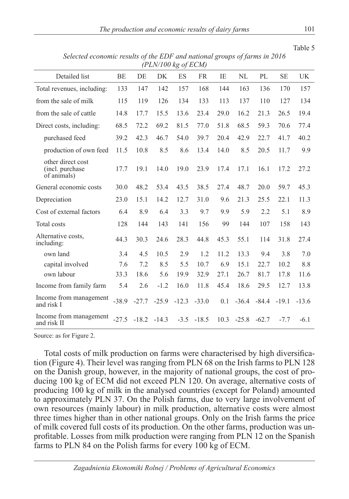|                                                     |           |         | $(1 \text{ LIV} / 100 \text{ kg} \text{ }0) \text{ LUN}$ |         |              |      |              |         |           |         |
|-----------------------------------------------------|-----------|---------|----------------------------------------------------------|---------|--------------|------|--------------|---------|-----------|---------|
| Detailed list                                       | <b>BE</b> | DE      | DK                                                       | ES      | <b>FR</b>    | IE   | NL           | PL      | <b>SE</b> | UK      |
| Total revenues, including:                          | 133       | 147     | 142                                                      | 157     | 168          | 144  | 163          | 136     | 170       | 157     |
| from the sale of milk                               | 115       | 119     | 126                                                      | 134     | 133          | 113  | 137          | 110     | 127       | 134     |
| from the sale of cattle                             | 14.8      | 17.7    | 15.5                                                     | 13.6    | 23.4         | 29.0 | 16.2         | 21.3    | 26.5      | 19.4    |
| Direct costs, including:                            | 68.5      | 72.2    | 69.2                                                     | 81.5    | 77.0         | 51.8 | 68.5         | 59.3    | 70.6      | 77.4    |
| purchased feed                                      | 39.2      | 42.3    | 46.7                                                     | 54.0    | 39.7         | 20.4 | 42.9         | 22.7    | 41.7      | 40.2    |
| production of own feed                              | 11.5      | 10.8    | 8.5                                                      | 8.6     | 13.4         | 14.0 | 8.5          | 20.5    | 11.7      | 9.9     |
| other direct cost<br>(incl. purchase<br>of animals) | 17.7      | 19.1    | 14.0                                                     | 19.0    | 23.9         | 17.4 | 17.1         | 16.1    | 17.2      | 27.2    |
| General economic costs                              | 30.0      | 48.2    | 53.4                                                     | 43.5    | 38.5         | 27.4 | 48.7         | 20.0    | 59.7      | 45.3    |
| Depreciation                                        | 23.0      | 15.1    | 14.2                                                     | 12.7    | 31.0         | 9.6  | 21.3         | 25.5    | 22.1      | 11.3    |
| Cost of external factors                            | 6.4       | 8.9     | 6.4                                                      | 3.3     | 9.7          | 9.9  | 5.9          | 2.2     | 5.1       | 8.9     |
| Total costs                                         | 128       | 144     | 143                                                      | 141     | 156          | 99   | 144          | 107     | 158       | 143     |
| Alternative costs.<br>including:                    | 44.3      | 30.3    | 24.6                                                     | 28.3    | 44.8         | 45.3 | 55.1         | 114     | 31.8      | 27.4    |
| own land                                            | 3.4       | 4.5     | 10.5                                                     | 2.9     | 1.2          | 11.2 | 13.3         | 9.4     | 3.8       | 7.0     |
| capital involved                                    | 7.6       | 7.2     | 8.5                                                      | 5.5     | 10.7         | 6.9  | 15.1         | 22.7    | 10.2      | 8.8     |
| own labour                                          | 33.3      | 18.6    | 5.6                                                      | 19.9    | 32.9         | 27.1 | 26.7         | 81.7    | 17.8      | 11.6    |
| Income from family farm                             | 5.4       | 2.6     | $-1.2$                                                   | 16.0    | 11.8         | 45.4 | 18.6         | 29.5    | 12.7      | 13.8    |
| Income from management<br>and risk I                | $-38.9$   | $-27.7$ | $-25.9$                                                  | $-12.3$ | $-33.0$      | 0.1  | $-36.4$      | $-84.4$ | $-19.1$   | $-13.6$ |
| Income from management<br>and risk II               | $-27.5$   | $-18.2$ | $-14.3$                                                  |         | $-3.5 -18.5$ |      | $10.3 -25.8$ | $-62.7$ | $-7.7$    | $-6.1$  |

*Selected economic results of the EDF and national groups of farms in 2016 (PLN/100 kg of ECM)*

Source: as for Figure 2.

Total costs of milk production on farms were characterised by high diversification (Figure 4). Their level was ranging from PLN 68 on the Irish farms to PLN 128 on the Danish group, however, in the majority of national groups, the cost of producing 100 kg of ECM did not exceed PLN 120. On average, alternative costs of producing 100 kg of milk in the analysed countries (except for Poland) amounted to approximately PLN 37. On the Polish farms, due to very large involvement of own resources (mainly labour) in milk production, alternative costs were almost three times higher than in other national groups. Only on the Irish farms the price of milk covered full costs of its production. On the other farms, production was unprofitable. Losses from milk production were ranging from PLN 12 on the Spanish farms to PLN 84 on the Polish farms for every 100 kg of ECM.

Table 5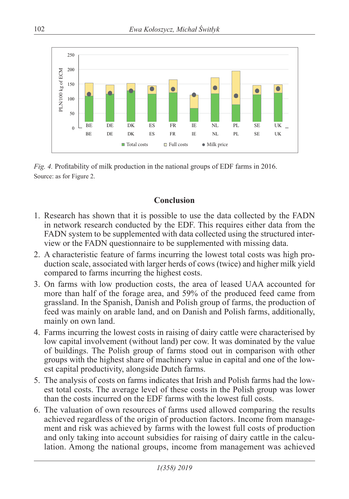

*Fig. 4.* Profitability of milk production in the national groups of EDF farms in 2016. Source: as for Figure 2.

### **Conclusion**

- 1. Research has shown that it is possible to use the data collected by the FADN in network research conducted by the EDF. This requires either data from the FADN system to be supplemented with data collected using the structured interview or the FADN questionnaire to be supplemented with missing data.
- 2. A characteristic feature of farms incurring the lowest total costs was high production scale, associated with larger herds of cows (twice) and higher milk yield compared to farms incurring the highest costs.
- 3. On farms with low production costs, the area of leased UAA accounted for more than half of the forage area, and 59% of the produced feed came from grassland. In the Spanish, Danish and Polish group of farms, the production of feed was mainly on arable land, and on Danish and Polish farms, additionally, mainly on own land.
- 4. Farms incurring the lowest costs in raising of dairy cattle were characterised by low capital involvement (without land) per cow. It was dominated by the value of buildings. The Polish group of farms stood out in comparison with other groups with the highest share of machinery value in capital and one of the lowest capital productivity, alongside Dutch farms.
- 5. The analysis of costs on farms indicates that Irish and Polish farms had the lowest total costs. The average level of these costs in the Polish group was lower than the costs incurred on the EDF farms with the lowest full costs.
- 6. The valuation of own resources of farms used allowed comparing the results achieved regardless of the origin of production factors. Income from management and risk was achieved by farms with the lowest full costs of production and only taking into account subsidies for raising of dairy cattle in the calculation. Among the national groups, income from management was achieved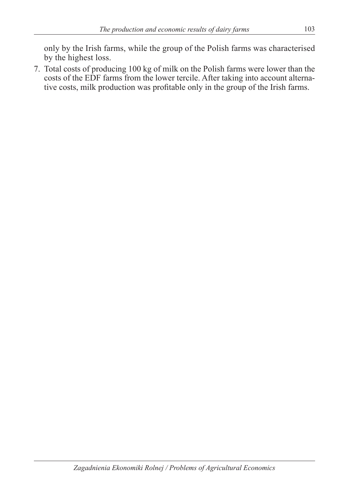only by the Irish farms, while the group of the Polish farms was characterised by the highest loss.

7. Total costs of producing 100 kg of milk on the Polish farms were lower than the costs of the EDF farms from the lower tercile. After taking into account alternative costs, milk production was profitable only in the group of the Irish farms.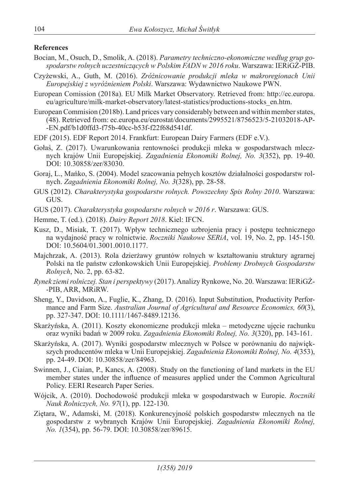#### **References**

- Bocian, M., Osuch, D., Smolik, A. (2018). *Parametry techniczno-ekonomiczne według grup gospodarstw rolnych uczestniczących w Polskim FADN w 2016 roku*. Warszawa: IERiGŻ-PIB.
- Czyżewski, A., Guth, M. (2016). *Zróżnicowanie produkcji mleka w makroregionach Unii Europejskiej z wyróżnieniem Polski*. Warszawa: Wydawnictwo Naukowe PWN.
- European Comission (2018a). EU Milk Market Observatory. Retrieved from: http://ec.europa. eu/agriculture/milk-market-observatory/latest-statistics/productions-stocks\_en.htm.
- European Commision (2018b). Land prices vary considerably between and within member states, (48). Retrieved from: ec.europa.eu/eurostat/documents/2995521/8756523/5-21032018-AP- -EN.pdf/b1d0ffd3-f75b-40cc-b53f-f22f68d541df.
- EDF (2015). EDF Report 2014. Frankfurt: European Dairy Farmers (EDF e.V.).
- Gołaś, Z. (2017). Uwarunkowania rentowności produkcji mleka w gospodarstwach mlecznych krajów Unii Europejskiej. *Zagadnienia Ekonomiki Rolnej, No. 3*(352), pp. 19-40. DOI: 10.30858/zer/83030.
- Goraj, L., Mańko, S. (2004). Model szacowania pełnych kosztów działalności gospodarstw rolnych. *Zagadnienia Ekonomiki Rolnej, No. 3*(328), pp. 28-58.
- GUS (2012). *Charakterystyka gospodarstw rolnych. Powszechny Spis Rolny 2010*. Warszawa: GUS.
- GUS (2017). *Charakterystyka gospodarstw rolnych w 2016 r*. Warszawa: GUS.
- Hemme, T. (ed.). (2018). *Dairy Report 2018*. Kiel: IFCN.
- Kusz, D., Misiak, T. (2017). Wpływ technicznego uzbrojenia pracy i postępu technicznego na wydajność pracy w rolnictwie. *Roczniki Naukowe SERiA*, vol. 19, No. 2, pp. 145-150. DOI: 10.5604/01.3001.0010.1177.
- Majchrzak, A. (2013). Rola dzierżawy gruntów rolnych w kształtowaniu struktury agrarnej Polski na tle państw członkowskich Unii Europejskiej. *Problemy Drobnych Gospodarstw Rolnych*, No. 2, pp. 63-82.
- *Rynek ziemi rolniczej. Stan i perspektywy* (2017). Analizy Rynkowe, No. 20. Warszawa: IERiGŻ- -PIB, ARR, MRiRW.
- Sheng, Y., Davidson, A., Fuglie, K., Zhang, D. (2016). Input Substitution, Productivity Performance and Farm Size. *Australian Journal of Agricultural and Resource Economics, 60*(3), pp. 327-347. DOI: 10.1111/1467-8489.12136.
- Skarżyńska, A. (2011). Koszty ekonomiczne produkcji mleka metodyczne ujęcie rachunku oraz wyniki badań w 2009 roku. *Zagadnienia Ekonomiki Rolnej, No. 3*(320), pp. 143-161.
- Skarżyńska, A. (2017). Wyniki gospodarstw mlecznych w Polsce w porównaniu do największych producentów mleka w Unii Europejskiej. *Zagadnienia Ekonomiki Rolnej, No. 4*(353), pp. 24-49. DOI: 10.30858/zer/84963.
- Swinnen, J., Ciaian, P., Kancs, A. (2008). Study on the functioning of land markets in the EU member states under the influence of measures applied under the Common Agricultural Policy. EERI Research Paper Series.
- Wójcik, A. (2010). Dochodowość produkcji mleka w gospodarstwach w Europie. *Roczniki Nauk Rolniczych, No. 97*(1), pp. 122-130.
- Ziętara, W., Adamski, M. (2018). Konkurencyjność polskich gospodarstw mlecznych na tle gospodarstw z wybranych Krajów Unii Europejskiej. *Zagadnienia Ekonomiki Rolnej, No. 1*(354), pp. 56-79. DOI: 10.30858/zer/89615.